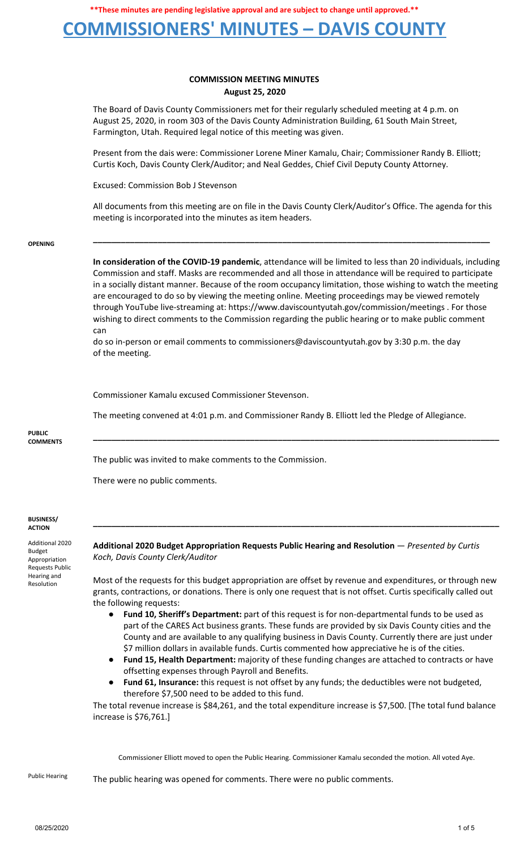### **COMMISSIONERS' MINUTES – DAVIS COUNTY**

### **COMMISSION MEETING MINUTES August 25, 2020**

The Board of Davis County Commissioners met for their regularly scheduled meeting at 4 p.m. on August 25, 2020, in room 303 of the Davis County Administration Building, 61 South Main Street, Farmington, Utah. Required legal notice of this meeting was given.

Present from the dais were: Commissioner Lorene Miner Kamalu, Chair; Commissioner Randy B. Elliott; Curtis Koch, Davis County Clerk/Auditor; and Neal Geddes, Chief Civil Deputy County Attorney.

Excused: Commission Bob J Stevenson

All documents from this meeting are on file in the Davis County Clerk/Auditor's Office. The agenda for this meeting is incorporated into the minutes as item headers.

**\_\_\_\_\_\_\_\_\_\_\_\_\_\_\_\_\_\_\_\_\_\_\_\_\_\_\_\_\_\_\_\_\_\_\_\_\_\_\_\_\_\_\_\_\_\_\_\_\_\_\_\_\_\_\_\_\_\_\_\_\_\_\_\_\_\_\_\_\_\_\_\_\_\_\_\_\_\_\_\_\_\_\_\_\_\_**

#### **OPENING**

**In consideration of the COVID-19 pandemic**, attendance will be limited to less than 20 individuals, including Commission and staff. Masks are recommended and all those in attendance will be required to participate in a socially distant manner. Because of the room occupancy limitation, those wishing to watch the meeting are encouraged to do so by viewing the meeting online. Meeting proceedings may be viewed remotely through YouTube live-streaming at: https://www.daviscountyutah.gov/commission/meetings . For those wishing to direct comments to the Commission regarding the public hearing or to make public comment can

do so in-person or email comments to commissioners@daviscountyutah.gov by 3:30 p.m. the day of the meeting.

Commissioner Kamalu excused Commissioner Stevenson.

The meeting convened at 4:01 p.m. and Commissioner Randy B. Elliott led the Pledge of Allegiance.

**\_\_\_\_\_\_\_\_\_\_\_\_\_\_\_\_\_\_\_\_\_\_\_\_\_\_\_\_\_\_\_\_\_\_\_\_\_\_\_\_\_\_\_\_\_\_\_\_\_\_\_\_\_\_\_\_\_\_\_\_\_\_\_\_\_\_\_\_\_\_\_\_\_\_\_\_\_\_\_\_\_\_\_\_\_\_\_\_**

**PUBLIC COMMENTS**

The public was invited to make comments to the Commission.

There were no public comments.

#### **BUSINESS/ ACTION**

Additional 2020 Budget Appropriation Requests Public Hearing and Resolution

**Additional 2020 Budget Appropriation Requests Public Hearing and Resolution** — *Presented by Curtis Koch, Davis County Clerk/Auditor*

Most of the requests for this budget appropriation are offset by revenue and expenditures, or through new grants, contractions, or donations. There is only one request that is not offset. Curtis specifically called out the following requests:

**\_\_\_\_\_\_\_\_\_\_\_\_\_\_\_\_\_\_\_\_\_\_\_\_\_\_\_\_\_\_\_\_\_\_\_\_\_\_\_\_\_\_\_\_\_\_\_\_\_\_\_\_\_\_\_\_\_\_\_\_\_\_\_\_\_\_\_\_\_\_\_\_\_\_\_\_\_\_\_\_\_\_\_\_\_\_\_\_**

- **Fund 10, Sheriff's Department:** part of this request is for non-departmental funds to be used as part of the CARES Act business grants. These funds are provided by six Davis County cities and the County and are available to any qualifying business in Davis County. Currently there are just under \$7 million dollars in available funds. Curtis commented how appreciative he is of the cities.
- **● Fund 15, Health Department:** majority of these funding changes are attached to contracts or have offsetting expenses through Payroll and Benefits.
- **● Fund 61, Insurance:** this request is not offset by any funds; the deductibles were not budgeted, therefore \$7,500 need to be added to this fund.

The total revenue increase is \$84,261, and the total expenditure increase is \$7,500. [The total fund balance increase is \$76,761.]

Commissioner Elliott moved to open the Public Hearing. Commissioner Kamalu seconded the motion. All voted Aye.

Public Hearing The public hearing was opened for comments. There were no public comments.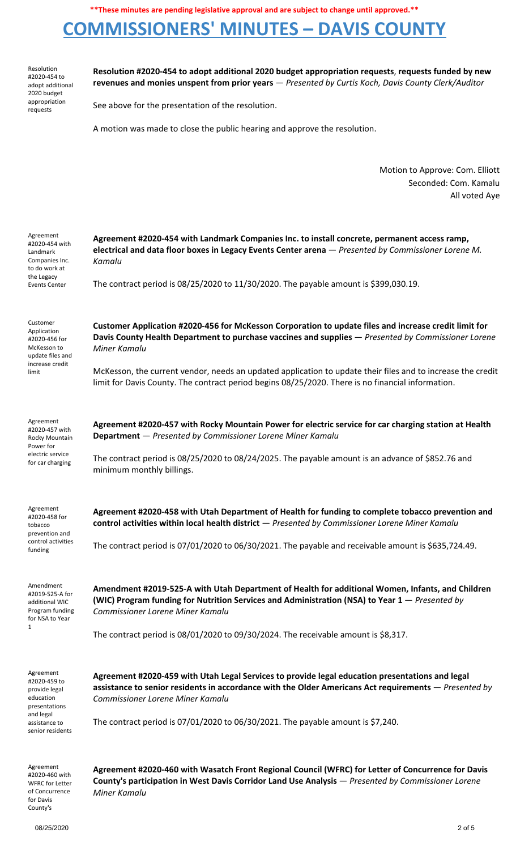# **COMMISSIONERS' MINUTES – DAVIS COUNTY**

Resolution #2020-454 to adopt additional 2020 budget appropriation requests

**Resolution #2020-454 to adopt additional 2020 budget appropriation requests**, **requests funded by new revenues and monies unspent from prior years** — *Presented by Curtis Koch, Davis County Clerk/Auditor*

See above for the presentation of the resolution.

A motion was made to close the public hearing and approve the resolution.

Motion to Approve: Com. Elliott Seconded: Com. Kamalu All voted Aye

| Agreement<br>#2020-454 with<br>Landmark<br>Companies Inc.<br>to do work at<br>the Legacy<br><b>Events Center</b>           | Agreement #2020-454 with Landmark Companies Inc. to install concrete, permanent access ramp,<br>electrical and data floor boxes in Legacy Events Center arena - Presented by Commissioner Lorene M.<br>Kamalu                                       |
|----------------------------------------------------------------------------------------------------------------------------|-----------------------------------------------------------------------------------------------------------------------------------------------------------------------------------------------------------------------------------------------------|
|                                                                                                                            | The contract period is 08/25/2020 to 11/30/2020. The payable amount is \$399,030.19.                                                                                                                                                                |
| Customer<br>Application<br>#2020-456 for<br>McKesson to<br>update files and<br>increase credit<br>limit                    | Customer Application #2020-456 for McKesson Corporation to update files and increase credit limit for<br>Davis County Health Department to purchase vaccines and supplies - Presented by Commissioner Lorene<br>Miner Kamalu                        |
|                                                                                                                            | McKesson, the current vendor, needs an updated application to update their files and to increase the credit<br>limit for Davis County. The contract period begins 08/25/2020. There is no financial information.                                    |
| Agreement<br>#2020-457 with<br>Rocky Mountain<br>Power for<br>electric service<br>for car charging                         | Agreement #2020-457 with Rocky Mountain Power for electric service for car charging station at Health<br>Department - Presented by Commissioner Lorene Miner Kamalu                                                                                 |
|                                                                                                                            | The contract period is 08/25/2020 to 08/24/2025. The payable amount is an advance of \$852.76 and<br>minimum monthly billings.                                                                                                                      |
| Agreement<br>#2020-458 for<br>tobacco<br>prevention and<br>control activities<br>funding                                   | Agreement #2020-458 with Utah Department of Health for funding to complete tobacco prevention and<br>control activities within local health district - Presented by Commissioner Lorene Miner Kamalu                                                |
|                                                                                                                            | The contract period is 07/01/2020 to 06/30/2021. The payable and receivable amount is \$635,724.49.                                                                                                                                                 |
| Amendment<br>#2019-525-A for<br>additional WIC<br>Program funding<br>for NSA to Year<br>1                                  | Amendment #2019-525-A with Utah Department of Health for additional Women, Infants, and Children<br>(WIC) Program funding for Nutrition Services and Administration (NSA) to Year 1 – Presented by<br>Commissioner Lorene Miner Kamalu              |
|                                                                                                                            | The contract period is 08/01/2020 to 09/30/2024. The receivable amount is \$8,317.                                                                                                                                                                  |
| Agreement<br>#2020-459 to<br>provide legal<br>education<br>presentations<br>and legal<br>assistance to<br>senior residents | Agreement #2020-459 with Utah Legal Services to provide legal education presentations and legal<br>assistance to senior residents in accordance with the Older Americans Act requirements - Presented by<br><b>Commissioner Lorene Miner Kamalu</b> |
|                                                                                                                            | The contract period is 07/01/2020 to 06/30/2021. The payable amount is \$7,240.                                                                                                                                                                     |
| Agreement<br>#2020-460 with                                                                                                | Agreement #2020-460 with Wasatch Front Regional Council (WFRC) for Letter of Concurrence for Davis                                                                                                                                                  |

#2020-460 with WFRC for Letter of Concurrence for Davis County's

**County's participation in West Davis Corridor Land Use Analysis** — *Presented by Commissioner Lorene Miner Kamalu*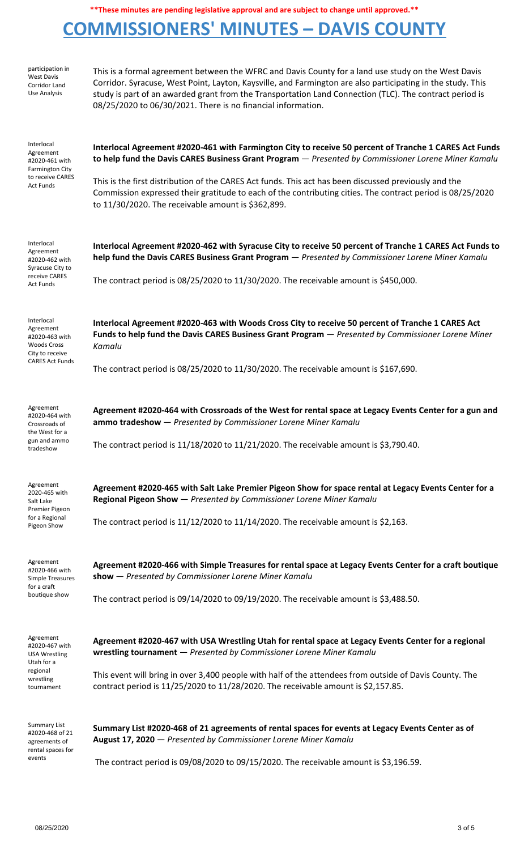# **COMMISSIONERS' MINUTES – DAVIS COUNTY**

| participation in<br><b>West Davis</b><br>Corridor Land<br>Use Analysis                                       | This is a formal agreement between the WFRC and Davis County for a land use study on the West Davis<br>Corridor. Syracuse, West Point, Layton, Kaysville, and Farmington are also participating in the study. This<br>study is part of an awarded grant from the Transportation Land Connection (TLC). The contract period is<br>08/25/2020 to 06/30/2021. There is no financial information.                                                                                              |
|--------------------------------------------------------------------------------------------------------------|--------------------------------------------------------------------------------------------------------------------------------------------------------------------------------------------------------------------------------------------------------------------------------------------------------------------------------------------------------------------------------------------------------------------------------------------------------------------------------------------|
| Interlocal<br>Agreement<br>#2020-461 with<br><b>Farmington City</b><br>to receive CARES<br><b>Act Funds</b>  | Interlocal Agreement #2020-461 with Farmington City to receive 50 percent of Tranche 1 CARES Act Funds<br>to help fund the Davis CARES Business Grant Program - Presented by Commissioner Lorene Miner Kamalu<br>This is the first distribution of the CARES Act funds. This act has been discussed previously and the<br>Commission expressed their gratitude to each of the contributing cities. The contract period is 08/25/2020<br>to 11/30/2020. The receivable amount is \$362,899. |
| Interlocal<br>Agreement<br>#2020-462 with<br>Syracuse City to<br>receive CARES<br><b>Act Funds</b>           | Interlocal Agreement #2020-462 with Syracuse City to receive 50 percent of Tranche 1 CARES Act Funds to<br>help fund the Davis CARES Business Grant Program - Presented by Commissioner Lorene Miner Kamalu<br>The contract period is $08/25/2020$ to $11/30/2020$ . The receivable amount is \$450,000.                                                                                                                                                                                   |
| Interlocal<br>Agreement<br>#2020-463 with<br><b>Woods Cross</b><br>City to receive<br><b>CARES Act Funds</b> | Interlocal Agreement #2020-463 with Woods Cross City to receive 50 percent of Tranche 1 CARES Act<br>Funds to help fund the Davis CARES Business Grant Program - Presented by Commissioner Lorene Miner<br>Kamalu<br>The contract period is $08/25/2020$ to $11/30/2020$ . The receivable amount is \$167,690.                                                                                                                                                                             |
| Agreement<br>#2020-464 with<br>Crossroads of<br>the West for a<br>gun and ammo<br>tradeshow                  | Agreement #2020-464 with Crossroads of the West for rental space at Legacy Events Center for a gun and<br>ammo tradeshow - Presented by Commissioner Lorene Miner Kamalu<br>The contract period is $11/18/2020$ to $11/21/2020$ . The receivable amount is \$3,790.40.                                                                                                                                                                                                                     |
| Agreement<br>2020-465 with<br>Salt Lake<br>Premier Pigeon<br>for a Regional<br>Pigeon Show                   | Agreement #2020-465 with Salt Lake Premier Pigeon Show for space rental at Legacy Events Center for a<br>Regional Pigeon Show - Presented by Commissioner Lorene Miner Kamalu<br>The contract period is $11/12/2020$ to $11/14/2020$ . The receivable amount is \$2,163.                                                                                                                                                                                                                   |
| Agreement<br>#2020-466 with<br>Simple Treasures<br>for a craft<br>boutique show                              | Agreement #2020-466 with Simple Treasures for rental space at Legacy Events Center for a craft boutique<br>show - Presented by Commissioner Lorene Miner Kamalu<br>The contract period is $09/14/2020$ to $09/19/2020$ . The receivable amount is \$3,488.50.                                                                                                                                                                                                                              |
| Agreement<br>#2020-467 with<br><b>USA Wrestling</b><br>Utah for a<br>regional<br>wrestling<br>tournament     | Agreement #2020-467 with USA Wrestling Utah for rental space at Legacy Events Center for a regional<br>wrestling tournament - Presented by Commissioner Lorene Miner Kamalu<br>This event will bring in over 3,400 people with half of the attendees from outside of Davis County. The<br>contract period is 11/25/2020 to 11/28/2020. The receivable amount is \$2,157.85.                                                                                                                |
| <b>Summary List</b><br>#2020-468 of 21<br>agreements of<br>rental spaces for<br>events                       | Summary List #2020-468 of 21 agreements of rental spaces for events at Legacy Events Center as of<br>August 17, 2020 - Presented by Commissioner Lorene Miner Kamalu<br>The contract period is 09/08/2020 to 09/15/2020. The receivable amount is \$3,196.59.                                                                                                                                                                                                                              |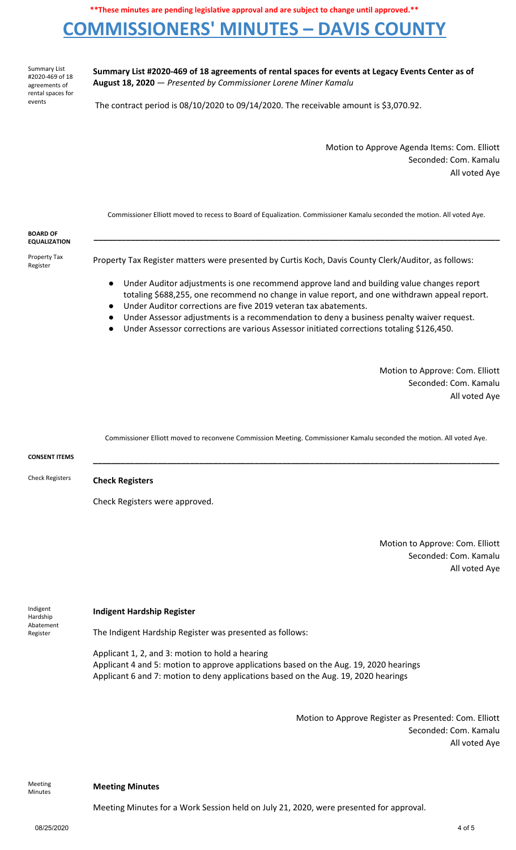## **COMMISSIONERS' MINUTES – DAVIS COUNTY**

Summary List #2020-469 of 18 agreements of rental spaces for events

**Summary List #2020-469 of 18 agreements of rental spaces for events at Legacy Events Center as of August 18, 2020** — *Presented by Commissioner Lorene Miner Kamalu*

The contract period is 08/10/2020 to 09/14/2020. The receivable amount is \$3,070.92.

Motion to Approve Agenda Items: Com. Elliott Seconded: Com. Kamalu All voted Aye

Commissioner Elliott moved to recess to Board of Equalization. Commissioner Kamalu seconded the motion. All voted Aye.

| <b>BOARD OF</b><br><b>EQUALIZATION</b> |                                                                                                                                                                                                                                                                                                                                                                                                                                                                      |
|----------------------------------------|----------------------------------------------------------------------------------------------------------------------------------------------------------------------------------------------------------------------------------------------------------------------------------------------------------------------------------------------------------------------------------------------------------------------------------------------------------------------|
| Property Tax<br>Register               | Property Tax Register matters were presented by Curtis Koch, Davis County Clerk/Auditor, as follows:                                                                                                                                                                                                                                                                                                                                                                 |
|                                        | Under Auditor adjustments is one recommend approve land and building value changes report<br>$\bullet$<br>totaling \$688,255, one recommend no change in value report, and one withdrawn appeal report.<br>Under Auditor corrections are five 2019 veteran tax abatements.<br>Under Assessor adjustments is a recommendation to deny a business penalty waiver request.<br>Under Assessor corrections are various Assessor initiated corrections totaling \$126,450. |

Motion to Approve: Com. Elliott Seconded: Com. Kamalu All voted Aye

Commissioner Elliott moved to reconvene Commission Meeting. Commissioner Kamalu seconded the motion. All voted Aye.

| <b>CONSENT ITEMS</b>   |                                |
|------------------------|--------------------------------|
| <b>Check Registers</b> | <b>Check Registers</b>         |
|                        | Check Registers were approved. |

Motion to Approve: Com. Elliott Seconded: Com. Kamalu All voted Aye

Indigent Hardship Abatement Register

#### **Indigent Hardship Register**

The Indigent Hardship Register was presented as follows:

Applicant 1, 2, and 3: motion to hold a hearing Applicant 4 and 5: motion to approve applications based on the Aug. 19, 2020 hearings Applicant 6 and 7: motion to deny applications based on the Aug. 19, 2020 hearings

> Motion to Approve Register as Presented: Com. Elliott Seconded: Com. Kamalu All voted Aye

Meeting

### Minutes **Meeting Minutes**

Meeting Minutes for a Work Session held on July 21, 2020, were presented for approval.